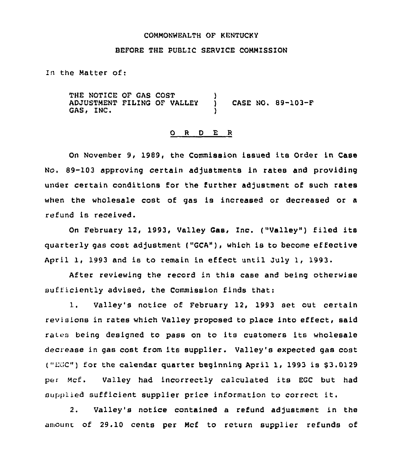#### COMMONNEALTH OF KENTUCKY

# BEFORE THE PUBLIC SERVICE COMMISSION

In the Matter of:

THE NOTICE OF GAS COST ADJUSTMENT FILING OF VALLEY GAS, INC. ) ) CASE NO. 89-103-F

### 0 <sup>R</sup> <sup>D</sup> E <sup>R</sup>

On November 9, 1989, the Commission issued its Order in Case No. 89-103 approving certain adjustments in rates and providing under certain conditions for the further adjustment of such rates when the wholesale cost of gas is increased or decreased or a refund is received.

On February 12, 1993, Valley Gas, Inc. ("Valley") filed its quarterly gas cost adjustment ("GCA"), which is to become effective April 1, 1993 and is to remain in effect until July 1, 1993.

After reviewing the record in this case and being otherwise sufficiently advised, the Commission finds that:

1. Valley's notice of February 12, 1993 set out certain revisions in rates which Valley proposed to place into effect, said rates being designed to pass on to its customers its wholesale decrease in gas cost from its supplier. Valley's expected gas cost ("EGC") for the calendar quarter beginning April 1, 1993 is  $$3.0129$ per Mcf. Valley had incorrectly calculated its EGC but had sufipiied sufficient supplier price information to correct it.

2. Valley's notice contained a refund adjustment in the amount of 29.10 cents per Mcf to return supplier refunds of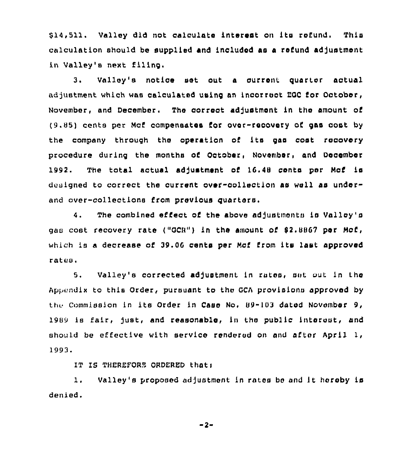\$ 14,511. Valley did not calculate interest on its refund. This calculation should be supplied and included as a refund adjustment in Valley's next filing.

3. Valley's notice set out <sup>a</sup> current. quarter actual adjustment which was calculated using an incorrect EGC for October, November, and December. The correct adjustment in the amount of (9.85) cents per Mcf compensates Cor over-recovery of gas oost by the company through the operation of its gas cost recovery procedure during the months of October, November, and December 1992. The total actual adjustment of 16.48 cents per Mcf is designed to correct the current over-collection as well as underand over-collections from previous quarters.

4. The combined effect of the above adjustments is Valley's gas cost recovery rate ("GCR") in the amount of  $$2.8867$  per Mcf, which is a decrease of 39.06 cents per Mcf from its last approved rates,

5. Valley's corrected adjustment in rates, ant out in the Appendix to this Order, pursuant to the GCA provisions approved by the Commission in its Order in Case No. 89-103 dated November 9, 1989 is fair, just, and reasonable, in the public interest, and should be effective with service rendered on and after April  $l_f$ 1993.

IT IS THEREFORE ORDERED thati

1. Valley's proposed adjustment in rates bo and it hereby ia denied.

 $-2-$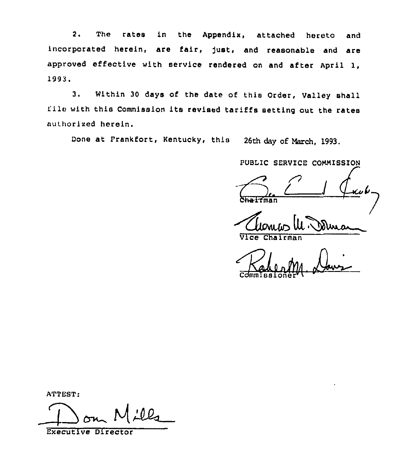2. The rates ln the Appendix, attached hereto and incorporated herein, are fair, just, and reasonable and are approved effective with service rendered on and after April 1, 1993.

3. Within <sup>30</sup> days of the date of this Order, Valley shall file with this Commission its revised tariffs setting out the rates authorised herein.

Done at Frankfort, Kentucky, this 26th day of March, 1993.

PUBLIC SERVICE COMMISSION

 $\int \frac{1}{2}$ 

Chairman

Cdmmissioner r

ATTEST:

Executive Director